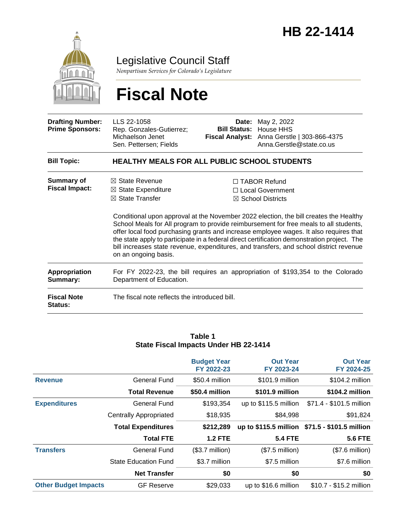

Legislative Council Staff

*Nonpartisan Services for Colorado's Legislature*

# **Fiscal Note**

| <b>Drafting Number:</b><br><b>Prime Sponsors:</b> | LLS 22-1058<br>Rep. Gonzales-Gutierrez;<br>Michaelson Jenet<br>Sen. Pettersen; Fields                            | Date: | May 2, 2022<br><b>Bill Status: House HHS</b><br>Fiscal Analyst: Anna Gerstle   303-866-4375<br>Anna.Gerstle@state.co.us                                                                                                                                                                                                                                                                                                                                                                                                                       |
|---------------------------------------------------|------------------------------------------------------------------------------------------------------------------|-------|-----------------------------------------------------------------------------------------------------------------------------------------------------------------------------------------------------------------------------------------------------------------------------------------------------------------------------------------------------------------------------------------------------------------------------------------------------------------------------------------------------------------------------------------------|
| <b>Bill Topic:</b>                                | <b>HEALTHY MEALS FOR ALL PUBLIC SCHOOL STUDENTS</b>                                                              |       |                                                                                                                                                                                                                                                                                                                                                                                                                                                                                                                                               |
| Summary of<br><b>Fiscal Impact:</b>               | $\boxtimes$ State Revenue<br>$\boxtimes$ State Expenditure<br>$\boxtimes$ State Transfer<br>on an ongoing basis. |       | $\Box$ TABOR Refund<br>□ Local Government<br>$\boxtimes$ School Districts<br>Conditional upon approval at the November 2022 election, the bill creates the Healthy<br>School Meals for All program to provide reimbursement for free meals to all students,<br>offer local food purchasing grants and increase employee wages. It also requires that<br>the state apply to participate in a federal direct certification demonstration project. The<br>bill increases state revenue, expenditures, and transfers, and school district revenue |
| Appropriation<br>Summary:                         | Department of Education.                                                                                         |       | For FY 2022-23, the bill requires an appropriation of \$193,354 to the Colorado                                                                                                                                                                                                                                                                                                                                                                                                                                                               |
| <b>Fiscal Note</b><br>Status:                     | The fiscal note reflects the introduced bill.                                                                    |       |                                                                                                                                                                                                                                                                                                                                                                                                                                                                                                                                               |

#### **Table 1 State Fiscal Impacts Under HB 22-1414**

|                             |                               | <b>Budget Year</b><br>FY 2022-23 | <b>Out Year</b><br>FY 2023-24 | <b>Out Year</b><br>FY 2024-25                  |
|-----------------------------|-------------------------------|----------------------------------|-------------------------------|------------------------------------------------|
| <b>Revenue</b>              | General Fund                  | \$50.4 million                   | \$101.9 million               | \$104.2 million                                |
|                             | <b>Total Revenue</b>          | \$50.4 million                   | \$101.9 million               | \$104.2 million                                |
| <b>Expenditures</b>         | <b>General Fund</b>           | \$193,354                        | up to \$115.5 million         | \$71.4 - \$101.5 million                       |
|                             | <b>Centrally Appropriated</b> | \$18,935                         | \$84,998                      | \$91,824                                       |
|                             | <b>Total Expenditures</b>     | \$212,289                        |                               | up to \$115.5 million \$71.5 - \$101.5 million |
|                             | <b>Total FTE</b>              | <b>1.2 FTE</b>                   | <b>5.4 FTE</b>                | <b>5.6 FTE</b>                                 |
| <b>Transfers</b>            | <b>General Fund</b>           | $($3.7$ million)                 | $($7.5$ million)              | $($7.6$ million)                               |
|                             | <b>State Education Fund</b>   | \$3.7 million                    | \$7.5 million                 | \$7.6 million                                  |
|                             | <b>Net Transfer</b>           | \$0                              | \$0                           | \$0                                            |
| <b>Other Budget Impacts</b> | <b>GF Reserve</b>             | \$29,033                         | up to \$16.6 million          | \$10.7 - \$15.2 million                        |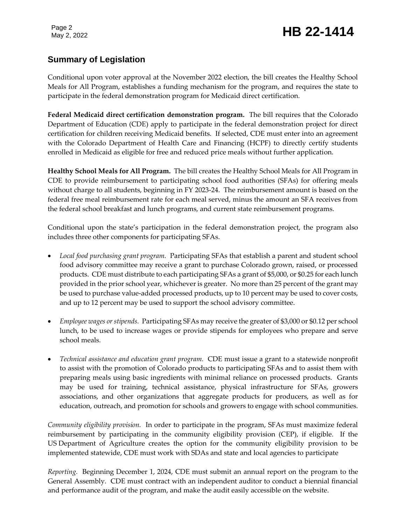### May 2, 2022 **HB 22-1414**

### **Summary of Legislation**

Conditional upon voter approval at the November 2022 election, the bill creates the Healthy School Meals for All Program, establishes a funding mechanism for the program, and requires the state to participate in the federal demonstration program for Medicaid direct certification.

**Federal Medicaid direct certification demonstration program.** The bill requires that the Colorado Department of Education (CDE) apply to participate in the federal demonstration project for direct certification for children receiving Medicaid benefits. If selected, CDE must enter into an agreement with the Colorado Department of Health Care and Financing (HCPF) to directly certify students enrolled in Medicaid as eligible for free and reduced price meals without further application.

**Healthy School Meals for All Program.** The bill creates the Healthy School Meals for All Program in CDE to provide reimbursement to participating school food authorities (SFAs) for offering meals without charge to all students, beginning in FY 2023-24. The reimbursement amount is based on the federal free meal reimbursement rate for each meal served, minus the amount an SFA receives from the federal school breakfast and lunch programs, and current state reimbursement programs.

Conditional upon the state's participation in the federal demonstration project, the program also includes three other components for participating SFAs.

- *Local food purchasing grant program.* Participating SFAs that establish a parent and student school food advisory committee may receive a grant to purchase Colorado grown, raised, or processed products. CDE must distribute to each participating SFAs a grant of \$5,000, or \$0.25 for each lunch provided in the prior school year, whichever is greater. No more than 25 percent of the grant may be used to purchase value-added processed products, up to 10 percent may be used to cover costs, and up to 12 percent may be used to support the school advisory committee.
- *Employee wages or stipends.*Participating SFAs may receive the greater of \$3,000 or \$0.12 per school lunch, to be used to increase wages or provide stipends for employees who prepare and serve school meals.
- Technical assistance and education grant program. CDE must issue a grant to a statewide nonprofit to assist with the promotion of Colorado products to participating SFAs and to assist them with preparing meals using basic ingredients with minimal reliance on processed products. Grants may be used for training, technical assistance, physical infrastructure for SFAs, growers associations, and other organizations that aggregate products for producers, as well as for education, outreach, and promotion for schools and growers to engage with school communities.

*Community eligibility provision.*In order to participate in the program, SFAs must maximize federal reimbursement by participating in the community eligibility provision (CEP), if eligible. If the US Department of Agriculture creates the option for the community eligibility provision to be implemented statewide, CDE must work with SDAs and state and local agencies to participate

*Reporting.* Beginning December 1, 2024, CDE must submit an annual report on the program to the General Assembly. CDE must contract with an independent auditor to conduct a biennial financial and performance audit of the program, and make the audit easily accessible on the website.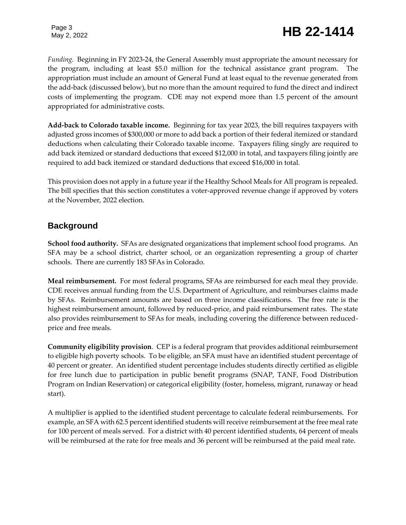# Page 3<br>May 2, 2022 **HB** 22-1414

*Funding.* Beginning in FY 2023-24, the General Assembly must appropriate the amount necessary for the program, including at least \$5.0 million for the technical assistance grant program. The appropriation must include an amount of General Fund at least equal to the revenue generated from the add-back (discussed below), but no more than the amount required to fund the direct and indirect costs of implementing the program. CDE may not expend more than 1.5 percent of the amount appropriated for administrative costs.

**Add-back to Colorado taxable income.** Beginning for tax year 2023, the bill requires taxpayers with adjusted gross incomes of \$300,000 or more to add back a portion of their federal itemized or standard deductions when calculating their Colorado taxable income. Taxpayers filing singly are required to add back itemized or standard deductions that exceed \$12,000 in total, and taxpayers filing jointly are required to add back itemized or standard deductions that exceed \$16,000 in total.

This provision does not apply in a future year if the Healthy School Meals for All program is repealed. The bill specifies that this section constitutes a voter-approved revenue change if approved by voters at the November, 2022 election.

#### **Background**

**School food authority.** SFAs are designated organizations that implement school food programs. An SFA may be a school district, charter school, or an organization representing a group of charter schools. There are currently 183 SFAs in Colorado.

**Meal reimbursement.** For most federal programs, SFAs are reimbursed for each meal they provide. CDE receives annual funding from the U.S. Department of Agriculture, and reimburses claims made by SFAs. Reimbursement amounts are based on three income classifications. The free rate is the highest reimbursement amount, followed by reduced-price, and paid reimbursement rates. The state also provides reimbursement to SFAs for meals, including covering the difference between reducedprice and free meals.

**Community eligibility provision**. CEP is a federal program that provides additional reimbursement to eligible high poverty schools. To be eligible, an SFA must have an identified student percentage of 40 percent or greater. An identified student percentage includes students directly certified as eligible for free lunch due to participation in public benefit programs (SNAP, TANF, Food Distribution Program on Indian Reservation) or categorical eligibility (foster, homeless, migrant, runaway or head start).

A multiplier is applied to the identified student percentage to calculate federal reimbursements. For example, an SFA with 62.5 percent identified students will receive reimbursement at the free meal rate for 100 percent of meals served. For a district with 40 percent identified students, 64 percent of meals will be reimbursed at the rate for free meals and 36 percent will be reimbursed at the paid meal rate.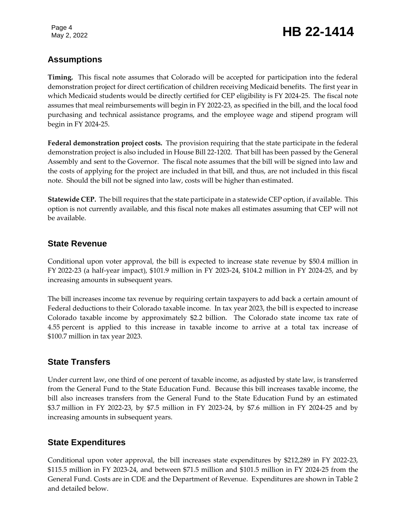### May 2, 2022 **HB 22-1414**

#### **Assumptions**

**Timing.** This fiscal note assumes that Colorado will be accepted for participation into the federal demonstration project for direct certification of children receiving Medicaid benefits. The first year in which Medicaid students would be directly certified for CEP eligibility is FY 2024-25. The fiscal note assumes that meal reimbursements will begin in FY 2022-23, as specified in the bill, and the local food purchasing and technical assistance programs, and the employee wage and stipend program will begin in FY 2024-25.

**Federal demonstration project costs.** The provision requiring that the state participate in the federal demonstration project is also included in House Bill 22-1202. That bill has been passed by the General Assembly and sent to the Governor. The fiscal note assumes that the bill will be signed into law and the costs of applying for the project are included in that bill, and thus, are not included in this fiscal note. Should the bill not be signed into law, costs will be higher than estimated.

**Statewide CEP.** The bill requires that the state participate in a statewide CEP option, if available. This option is not currently available, and this fiscal note makes all estimates assuming that CEP will not be available.

#### **State Revenue**

Conditional upon voter approval, the bill is expected to increase state revenue by \$50.4 million in FY 2022-23 (a half-year impact), \$101.9 million in FY 2023-24, \$104.2 million in FY 2024-25, and by increasing amounts in subsequent years.

The bill increases income tax revenue by requiring certain taxpayers to add back a certain amount of Federal deductions to their Colorado taxable income. In tax year 2023, the bill is expected to increase Colorado taxable income by approximately \$2.2 billion. The Colorado state income tax rate of 4.55 percent is applied to this increase in taxable income to arrive at a total tax increase of \$100.7 million in tax year 2023.

### **State Transfers**

Under current law, one third of one percent of taxable income, as adjusted by state law, is transferred from the General Fund to the State Education Fund. Because this bill increases taxable income, the bill also increases transfers from the General Fund to the State Education Fund by an estimated \$3.7 million in FY 2022-23, by \$7.5 million in FY 2023-24, by \$7.6 million in FY 2024-25 and by increasing amounts in subsequent years.

### **State Expenditures**

Conditional upon voter approval, the bill increases state expenditures by \$212,289 in FY 2022-23, \$115.5 million in FY 2023-24, and between \$71.5 million and \$101.5 million in FY 2024-25 from the General Fund. Costs are in CDE and the Department of Revenue. Expenditures are shown in Table 2 and detailed below.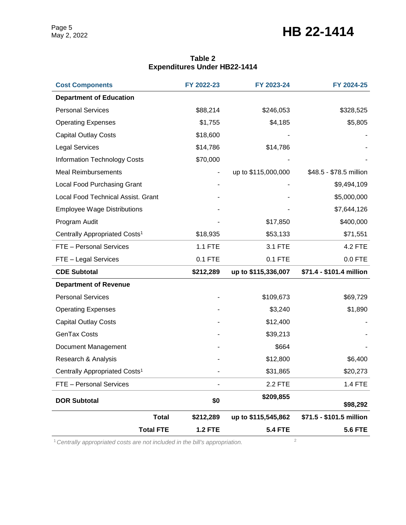### May 2, 2022 **HB 22-1414**

| <b>Department of Education</b><br><b>Personal Services</b><br>\$88,214<br>\$246,053<br>\$328,525<br>\$1,755<br>\$4,185<br>\$5,805<br><b>Operating Expenses</b><br><b>Capital Outlay Costs</b><br>\$18,600<br><b>Legal Services</b><br>\$14,786<br>\$14,786<br><b>Information Technology Costs</b><br>\$70,000<br><b>Meal Reimbursements</b><br>up to \$115,000,000<br>\$48.5 - \$78.5 million<br>Local Food Purchasing Grant<br>\$9,494,109<br>Local Food Technical Assist. Grant<br>\$5,000,000<br><b>Employee Wage Distributions</b><br>\$7,644,126<br>\$400,000<br>Program Audit<br>\$17,850<br>Centrally Appropriated Costs <sup>1</sup><br>\$18,935<br>\$53,133<br>\$71,551<br>1.1 FTE<br>FTE - Personal Services<br>3.1 FTE<br><b>4.2 FTE</b><br>$0.1$ FTE<br>$0.0$ FTE<br>FTE - Legal Services<br>0.1 FTE<br>\$71.4 - \$101.4 million<br><b>CDE Subtotal</b><br>\$212,289<br>up to \$115,336,007<br><b>Department of Revenue</b><br><b>Personal Services</b><br>\$109,673<br>\$69,729<br><b>Operating Expenses</b><br>\$3,240<br>\$1,890<br><b>Capital Outlay Costs</b><br>\$12,400<br><b>GenTax Costs</b><br>\$39,213<br>\$664<br>Document Management<br>Research & Analysis<br>\$12,800<br>\$6,400<br>\$31,865<br>\$20,273<br>Centrally Appropriated Costs <sup>1</sup><br>FTE - Personal Services<br>2.2 FTE<br>1.4 FTE<br>\$209,855<br>\$0<br><b>DOR Subtotal</b><br>\$98,292<br><b>Total</b><br>\$212,289<br>up to \$115,545,862<br>\$71.5 - \$101.5 million | <b>Cost Components</b> | FY 2022-23     | FY 2023-24     | FY 2024-25     |
|--------------------------------------------------------------------------------------------------------------------------------------------------------------------------------------------------------------------------------------------------------------------------------------------------------------------------------------------------------------------------------------------------------------------------------------------------------------------------------------------------------------------------------------------------------------------------------------------------------------------------------------------------------------------------------------------------------------------------------------------------------------------------------------------------------------------------------------------------------------------------------------------------------------------------------------------------------------------------------------------------------------------------------------------------------------------------------------------------------------------------------------------------------------------------------------------------------------------------------------------------------------------------------------------------------------------------------------------------------------------------------------------------------------------------------------------------------------------------|------------------------|----------------|----------------|----------------|
|                                                                                                                                                                                                                                                                                                                                                                                                                                                                                                                                                                                                                                                                                                                                                                                                                                                                                                                                                                                                                                                                                                                                                                                                                                                                                                                                                                                                                                                                          |                        |                |                |                |
|                                                                                                                                                                                                                                                                                                                                                                                                                                                                                                                                                                                                                                                                                                                                                                                                                                                                                                                                                                                                                                                                                                                                                                                                                                                                                                                                                                                                                                                                          |                        |                |                |                |
|                                                                                                                                                                                                                                                                                                                                                                                                                                                                                                                                                                                                                                                                                                                                                                                                                                                                                                                                                                                                                                                                                                                                                                                                                                                                                                                                                                                                                                                                          |                        |                |                |                |
|                                                                                                                                                                                                                                                                                                                                                                                                                                                                                                                                                                                                                                                                                                                                                                                                                                                                                                                                                                                                                                                                                                                                                                                                                                                                                                                                                                                                                                                                          |                        |                |                |                |
|                                                                                                                                                                                                                                                                                                                                                                                                                                                                                                                                                                                                                                                                                                                                                                                                                                                                                                                                                                                                                                                                                                                                                                                                                                                                                                                                                                                                                                                                          |                        |                |                |                |
|                                                                                                                                                                                                                                                                                                                                                                                                                                                                                                                                                                                                                                                                                                                                                                                                                                                                                                                                                                                                                                                                                                                                                                                                                                                                                                                                                                                                                                                                          |                        |                |                |                |
|                                                                                                                                                                                                                                                                                                                                                                                                                                                                                                                                                                                                                                                                                                                                                                                                                                                                                                                                                                                                                                                                                                                                                                                                                                                                                                                                                                                                                                                                          |                        |                |                |                |
|                                                                                                                                                                                                                                                                                                                                                                                                                                                                                                                                                                                                                                                                                                                                                                                                                                                                                                                                                                                                                                                                                                                                                                                                                                                                                                                                                                                                                                                                          |                        |                |                |                |
|                                                                                                                                                                                                                                                                                                                                                                                                                                                                                                                                                                                                                                                                                                                                                                                                                                                                                                                                                                                                                                                                                                                                                                                                                                                                                                                                                                                                                                                                          |                        |                |                |                |
|                                                                                                                                                                                                                                                                                                                                                                                                                                                                                                                                                                                                                                                                                                                                                                                                                                                                                                                                                                                                                                                                                                                                                                                                                                                                                                                                                                                                                                                                          |                        |                |                |                |
|                                                                                                                                                                                                                                                                                                                                                                                                                                                                                                                                                                                                                                                                                                                                                                                                                                                                                                                                                                                                                                                                                                                                                                                                                                                                                                                                                                                                                                                                          |                        |                |                |                |
|                                                                                                                                                                                                                                                                                                                                                                                                                                                                                                                                                                                                                                                                                                                                                                                                                                                                                                                                                                                                                                                                                                                                                                                                                                                                                                                                                                                                                                                                          |                        |                |                |                |
|                                                                                                                                                                                                                                                                                                                                                                                                                                                                                                                                                                                                                                                                                                                                                                                                                                                                                                                                                                                                                                                                                                                                                                                                                                                                                                                                                                                                                                                                          |                        |                |                |                |
|                                                                                                                                                                                                                                                                                                                                                                                                                                                                                                                                                                                                                                                                                                                                                                                                                                                                                                                                                                                                                                                                                                                                                                                                                                                                                                                                                                                                                                                                          |                        |                |                |                |
|                                                                                                                                                                                                                                                                                                                                                                                                                                                                                                                                                                                                                                                                                                                                                                                                                                                                                                                                                                                                                                                                                                                                                                                                                                                                                                                                                                                                                                                                          |                        |                |                |                |
|                                                                                                                                                                                                                                                                                                                                                                                                                                                                                                                                                                                                                                                                                                                                                                                                                                                                                                                                                                                                                                                                                                                                                                                                                                                                                                                                                                                                                                                                          |                        |                |                |                |
|                                                                                                                                                                                                                                                                                                                                                                                                                                                                                                                                                                                                                                                                                                                                                                                                                                                                                                                                                                                                                                                                                                                                                                                                                                                                                                                                                                                                                                                                          |                        |                |                |                |
|                                                                                                                                                                                                                                                                                                                                                                                                                                                                                                                                                                                                                                                                                                                                                                                                                                                                                                                                                                                                                                                                                                                                                                                                                                                                                                                                                                                                                                                                          |                        |                |                |                |
|                                                                                                                                                                                                                                                                                                                                                                                                                                                                                                                                                                                                                                                                                                                                                                                                                                                                                                                                                                                                                                                                                                                                                                                                                                                                                                                                                                                                                                                                          |                        |                |                |                |
|                                                                                                                                                                                                                                                                                                                                                                                                                                                                                                                                                                                                                                                                                                                                                                                                                                                                                                                                                                                                                                                                                                                                                                                                                                                                                                                                                                                                                                                                          |                        |                |                |                |
|                                                                                                                                                                                                                                                                                                                                                                                                                                                                                                                                                                                                                                                                                                                                                                                                                                                                                                                                                                                                                                                                                                                                                                                                                                                                                                                                                                                                                                                                          |                        |                |                |                |
|                                                                                                                                                                                                                                                                                                                                                                                                                                                                                                                                                                                                                                                                                                                                                                                                                                                                                                                                                                                                                                                                                                                                                                                                                                                                                                                                                                                                                                                                          |                        |                |                |                |
|                                                                                                                                                                                                                                                                                                                                                                                                                                                                                                                                                                                                                                                                                                                                                                                                                                                                                                                                                                                                                                                                                                                                                                                                                                                                                                                                                                                                                                                                          |                        |                |                |                |
|                                                                                                                                                                                                                                                                                                                                                                                                                                                                                                                                                                                                                                                                                                                                                                                                                                                                                                                                                                                                                                                                                                                                                                                                                                                                                                                                                                                                                                                                          |                        |                |                |                |
|                                                                                                                                                                                                                                                                                                                                                                                                                                                                                                                                                                                                                                                                                                                                                                                                                                                                                                                                                                                                                                                                                                                                                                                                                                                                                                                                                                                                                                                                          |                        |                |                |                |
|                                                                                                                                                                                                                                                                                                                                                                                                                                                                                                                                                                                                                                                                                                                                                                                                                                                                                                                                                                                                                                                                                                                                                                                                                                                                                                                                                                                                                                                                          |                        |                |                |                |
| <b>Total FTE</b>                                                                                                                                                                                                                                                                                                                                                                                                                                                                                                                                                                                                                                                                                                                                                                                                                                                                                                                                                                                                                                                                                                                                                                                                                                                                                                                                                                                                                                                         |                        | <b>1.2 FTE</b> | <b>5.4 FTE</b> | <b>5.6 FTE</b> |

#### **Table 2 Expenditures Under HB22-1414**

<sup>1</sup> Centrally appropriated costs are not included in the bill's appropriation.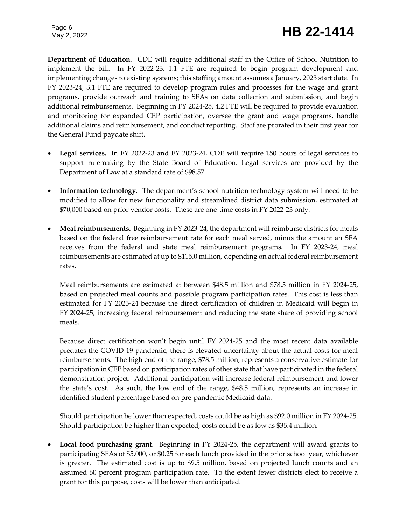## Page 6<br>May 2, 2022 **HB** 22-1414

**Department of Education.** CDE will require additional staff in the Office of School Nutrition to implement the bill. In FY 2022-23, 1.1 FTE are required to begin program development and implementing changes to existing systems; this staffing amount assumes a January, 2023 start date. In FY 2023-24, 3.1 FTE are required to develop program rules and processes for the wage and grant programs, provide outreach and training to SFAs on data collection and submission, and begin additional reimbursements. Beginning in FY 2024-25, 4.2 FTE will be required to provide evaluation and monitoring for expanded CEP participation, oversee the grant and wage programs, handle additional claims and reimbursement, and conduct reporting. Staff are prorated in their first year for the General Fund paydate shift.

- **Legal services.** In FY 2022-23 and FY 2023-24, CDE will require 150 hours of legal services to support rulemaking by the State Board of Education. Legal services are provided by the Department of Law at a standard rate of \$98.57.
- **Information technology.** The department's school nutrition technology system will need to be modified to allow for new functionality and streamlined district data submission, estimated at \$70,000 based on prior vendor costs. These are one-time costs in FY 2022-23 only.
- **Meal reimbursements.** Beginning in FY 2023-24, the department will reimburse districts for meals based on the federal free reimbursement rate for each meal served, minus the amount an SFA receives from the federal and state meal reimbursement programs. In FY 2023-24, meal reimbursements are estimated at up to \$115.0 million, depending on actual federal reimbursement rates.

Meal reimbursements are estimated at between \$48.5 million and \$78.5 million in FY 2024-25, based on projected meal counts and possible program participation rates. This cost is less than estimated for FY 2023-24 because the direct certification of children in Medicaid will begin in FY 2024-25, increasing federal reimbursement and reducing the state share of providing school meals.

Because direct certification won't begin until FY 2024-25 and the most recent data available predates the COVID-19 pandemic, there is elevated uncertainty about the actual costs for meal reimbursements. The high end of the range, \$78.5 million, represents a conservative estimate for participation in CEP based on participation rates of other state that have participated in the federal demonstration project. Additional participation will increase federal reimbursement and lower the state's cost. As such, the low end of the range, \$48.5 million, represents an increase in identified student percentage based on pre-pandemic Medicaid data.

Should participation be lower than expected, costs could be as high as \$92.0 million in FY 2024-25. Should participation be higher than expected, costs could be as low as \$35.4 million.

 **Local food purchasing grant**. Beginning in FY 2024-25, the department will award grants to participating SFAs of \$5,000, or \$0.25 for each lunch provided in the prior school year, whichever is greater. The estimated cost is up to \$9.5 million, based on projected lunch counts and an assumed 60 percent program participation rate. To the extent fewer districts elect to receive a grant for this purpose, costs will be lower than anticipated.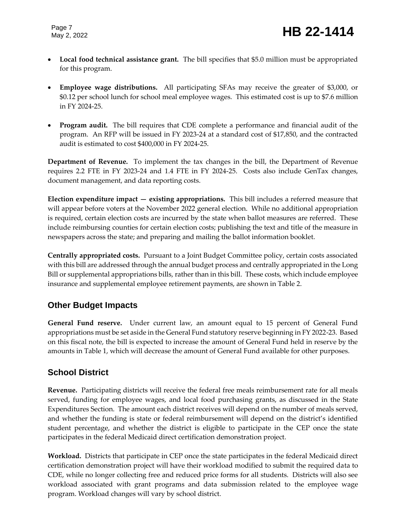- **Local food technical assistance grant.** The bill specifies that \$5.0 million must be appropriated for this program.
- **Employee wage distributions.** All participating SFAs may receive the greater of \$3,000, or \$0.12 per school lunch for school meal employee wages. This estimated cost is up to \$7.6 million in FY 2024-25.
- **Program audit.** The bill requires that CDE complete a performance and financial audit of the program. An RFP will be issued in FY 2023-24 at a standard cost of \$17,850, and the contracted audit is estimated to cost \$400,000 in FY 2024-25.

**Department of Revenue.** To implement the tax changes in the bill, the Department of Revenue requires 2.2 FTE in FY 2023-24 and 1.4 FTE in FY 2024-25. Costs also include GenTax changes, document management, and data reporting costs.

**Election expenditure impact — existing appropriations.** This bill includes a referred measure that will appear before voters at the November 2022 general election. While no additional appropriation is required, certain election costs are incurred by the state when ballot measures are referred. These include reimbursing counties for certain election costs; publishing the text and title of the measure in newspapers across the state; and preparing and mailing the ballot information booklet.

**Centrally appropriated costs.** Pursuant to a Joint Budget Committee policy, certain costs associated with this bill are addressed through the annual budget process and centrally appropriated in the Long Bill or supplemental appropriations bills, rather than in this bill. These costs, which include employee insurance and supplemental employee retirement payments, are shown in Table 2.

### **Other Budget Impacts**

**General Fund reserve.** Under current law, an amount equal to 15 percent of General Fund appropriations must be set aside in the General Fund statutory reserve beginning in FY 2022-23. Based on this fiscal note, the bill is expected to increase the amount of General Fund held in reserve by the amounts in Table 1, which will decrease the amount of General Fund available for other purposes.

### **School District**

**Revenue.** Participating districts will receive the federal free meals reimbursement rate for all meals served, funding for employee wages, and local food purchasing grants, as discussed in the State Expenditures Section. The amount each district receives will depend on the number of meals served, and whether the funding is state or federal reimbursement will depend on the district's identified student percentage, and whether the district is eligible to participate in the CEP once the state participates in the federal Medicaid direct certification demonstration project.

**Workload.** Districts that participate in CEP once the state participates in the federal Medicaid direct certification demonstration project will have their workload modified to submit the required data to CDE, while no longer collecting free and reduced price forms for all students. Districts will also see workload associated with grant programs and data submission related to the employee wage program. Workload changes will vary by school district.